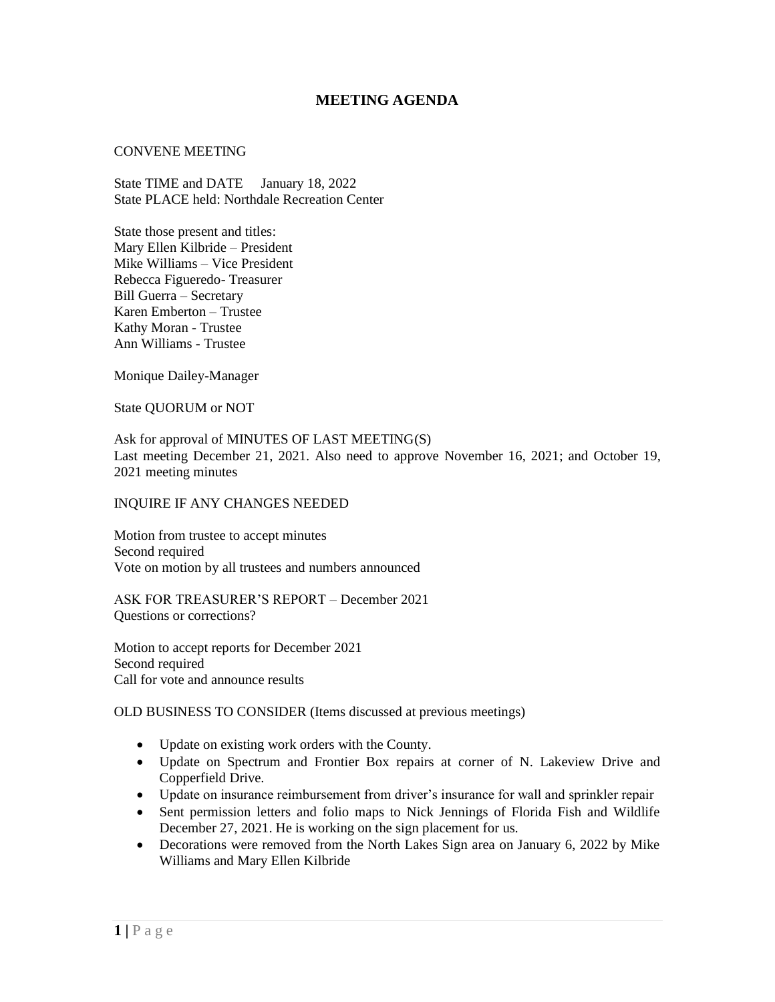## **MEETING AGENDA**

## CONVENE MEETING

State TIME and DATE January 18, 2022 State PLACE held: Northdale Recreation Center

State those present and titles: Mary Ellen Kilbride – President Mike Williams – Vice President Rebecca Figueredo- Treasurer Bill Guerra – Secretary Karen Emberton – Trustee Kathy Moran - Trustee Ann Williams - Trustee

Monique Dailey-Manager

State QUORUM or NOT

Ask for approval of MINUTES OF LAST MEETING(S) Last meeting December 21, 2021. Also need to approve November 16, 2021; and October 19, 2021 meeting minutes

## INQUIRE IF ANY CHANGES NEEDED

Motion from trustee to accept minutes Second required Vote on motion by all trustees and numbers announced

ASK FOR TREASURER'S REPORT – December 2021 Questions or corrections?

Motion to accept reports for December 2021 Second required Call for vote and announce results

OLD BUSINESS TO CONSIDER (Items discussed at previous meetings)

- Update on existing work orders with the County.
- Update on Spectrum and Frontier Box repairs at corner of N. Lakeview Drive and Copperfield Drive.
- Update on insurance reimbursement from driver's insurance for wall and sprinkler repair
- Sent permission letters and folio maps to Nick Jennings of Florida Fish and Wildlife December 27, 2021. He is working on the sign placement for us.
- Decorations were removed from the North Lakes Sign area on January 6, 2022 by Mike Williams and Mary Ellen Kilbride